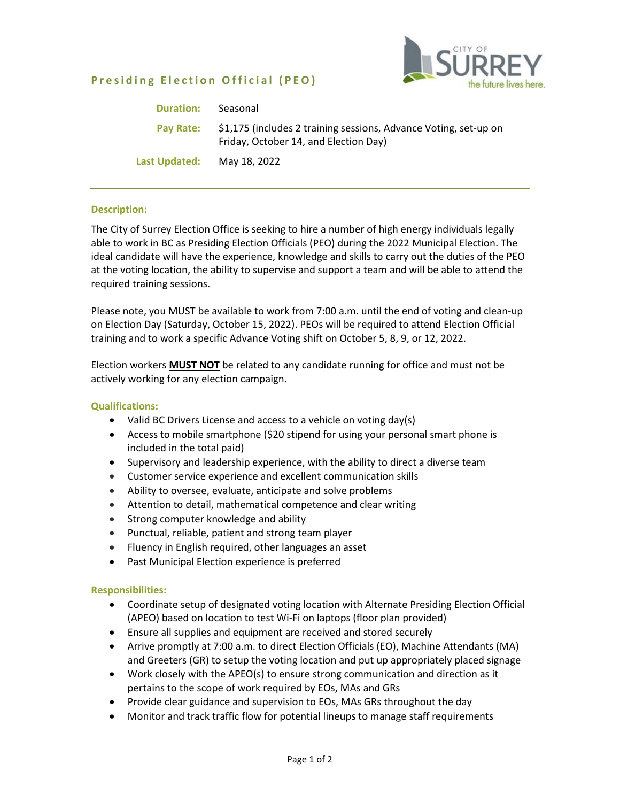# **Presiding Election Official (PEO)**



| <b>Duration:</b> | Seasonal                                                                                                  |
|------------------|-----------------------------------------------------------------------------------------------------------|
| Pay Rate:        | \$1,175 (includes 2 training sessions, Advance Voting, set-up on<br>Friday, October 14, and Election Day) |
| Last Updated:    | May 18, 2022                                                                                              |

#### **Description:**

The City of Surrey Election Office is seeking to hire a number of high energy individuals legally able to work in BC as Presiding Election Officials (PEO) during the 2022 Municipal Election. The ideal candidate will have the experience, knowledge and skills to carry out the duties of the PEO at the voting location, the ability to supervise and support a team and will be able to attend the required training sessions.

Please note, you MUST be available to work from 7:00 a.m. until the end of voting and clean-up on Election Day (Saturday, October 15, 2022). PEOs will be required to attend Election Official training and to work a specific Advance Voting shift on October 5, 8, 9, or 12, 2022.

Election workers **MUST NOT** be related to any candidate running for office and must not be actively working for any election campaign.

#### **Qualifications:**

- Valid BC Drivers License and access to a vehicle on voting day(s)
- Access to mobile smartphone (\$20 stipend for using your personal smart phone is included in the total paid)
- Supervisory and leadership experience, with the ability to direct a diverse team
- Customer service experience and excellent communication skills
- Ability to oversee, evaluate, anticipate and solve problems
- Attention to detail, mathematical competence and clear writing
- Strong computer knowledge and ability
- Punctual, reliable, patient and strong team player
- Fluency in English required, other languages an asset
- Past Municipal Election experience is preferred

#### **Responsibilities:**

- Coordinate setup of designated voting location with Alternate Presiding Election Official (APEO) based on location to test Wi-Fi on laptops (floor plan provided)
- Ensure all supplies and equipment are received and stored securely
- Arrive promptly at 7:00 a.m. to direct Election Officials (EO), Machine Attendants (MA) and Greeters (GR) to setup the voting location and put up appropriately placed signage
- Work closely with the APEO(s) to ensure strong communication and direction as it pertains to the scope of work required by EOs, MAs and GRs
- Provide clear guidance and supervision to EOs, MAs GRs throughout the day
- Monitor and track traffic flow for potential lineups to manage staff requirements